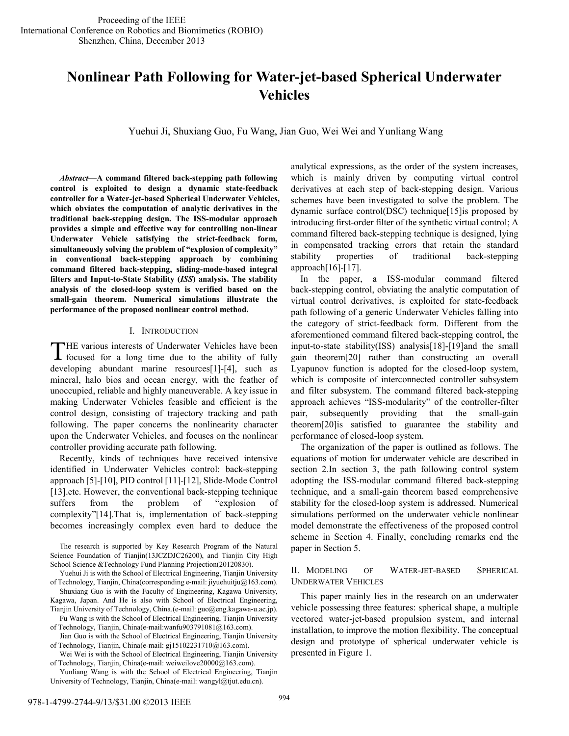# **Nonlinear Path Following for Water-jet-based Spherical Underwater Vehicles**

Yuehui Ji, Shuxiang Guo, Fu Wang, Jian Guo, Wei Wei and Yunliang Wang

*Abstract***—A command filtered back-stepping path following control is exploited to design a dynamic state-feedback controller for a Water-jet-based Spherical Underwater Vehicles, which obviates the computation of analytic derivatives in the traditional back-stepping design. The ISS-modular approach provides a simple and effective way for controlling non-linear Underwater Vehicle satisfying the strict-feedback form, simultaneously solving the problem of "explosion of complexity" in conventional back-stepping approach by combining command filtered back-stepping, sliding-mode-based integral filters and Input-to-State Stability (***ISS***) analysis. The stability analysis of the closed-loop system is verified based on the small-gain theorem. Numerical simulations illustrate the performance of the proposed nonlinear control method.** 

### I. INTRODUCTION

HE various interests of Underwater Vehicles have been THE various interests of Underwater Vehicles have been focused for a long time due to the ability of fully developing abundant marine resources[1]-[4], such as mineral, halo bios and ocean energy, with the feather of unoccupied, reliable and highly maneuverable. A key issue in making Underwater Vehicles feasible and efficient is the control design, consisting of trajectory tracking and path following. The paper concerns the nonlinearity character upon the Underwater Vehicles, and focuses on the nonlinear controller providing accurate path following.

Recently, kinds of techniques have received intensive identified in Underwater Vehicles control: back-stepping approach [5]-[10], PID control [11]-[12], Slide-Mode Control [13] etc. However, the conventional back-stepping technique suffers from the problem of "explosion of complexity"[14].That is, implementation of back-stepping becomes increasingly complex even hard to deduce the

The research is supported by Key Research Program of the Natural Science Foundation of Tianjin(13JCZDJC26200), and Tianjin City High School Science &Technology Fund Planning Projection(20120830).

Yuehui Ji is with the School of Electrical Engineering, Tianjin University of Technology, Tianjin, China(corresponding e-mail: jiyuehuitju@163.com). Shuxiang Guo is with the Faculty of Engineering, Kagawa University,

Kagawa, Japan. And He is also with School of Electrical Engineering, Tianjin University of Technology, China.(e-mail: guo@eng.kagawa-u.ac.jp).

Fu Wang is with the School of Electrical Engineering, Tianjin University of Technology, Tianjin, China(e-mail:wanfu903791081@163.com).

Jian Guo is with the School of Electrical Engineering, Tianjin University of Technology, Tianjin, China(e-mail: gj15102231710@163.com).

Wei Wei is with the School of Electrical Engineering, Tianjin University of Technology, Tianjin, China(e-mail: weiweilove20000@163.com).

Yunliang Wang is with the School of Electrical Engineering, Tianjin University of Technology, Tianjin, China(e-mail: wangyl@tjut.edu.cn).

analytical expressions, as the order of the system increases, which is mainly driven by computing virtual control derivatives at each step of back-stepping design. Various schemes have been investigated to solve the problem. The dynamic surface control(DSC) technique[15]is proposed by introducing first-order filter of the synthetic virtual control; A command filtered back-stepping technique is designed, lying in compensated tracking errors that retain the standard stability properties of traditional back-stepping  $approad[16]-[17]$ .

In the paper, a ISS-modular command filtered back-stepping control, obviating the analytic computation of virtual control derivatives, is exploited for state-feedback path following of a generic Underwater Vehicles falling into the category of strict-feedback form. Different from the aforementioned command filtered back-stepping control, the input-to-state stability(ISS) analysis[18]-[19]and the small gain theorem[20] rather than constructing an overall Lyapunov function is adopted for the closed-loop system, which is composite of interconnected controller subsystem and filter subsystem. The command filtered back-stepping approach achieves "ISS-modularity" of the controller-filter pair, subsequently providing that the small-gain theorem[20]is satisfied to guarantee the stability and performance of closed-loop system.

The organization of the paper is outlined as follows. The equations of motion for underwater vehicle are described in section 2.In section 3, the path following control system adopting the ISS-modular command filtered back-stepping technique, and a small-gain theorem based comprehensive stability for the closed-loop system is addressed. Numerical simulations performed on the underwater vehicle nonlinear model demonstrate the effectiveness of the proposed control scheme in Section 4. Finally, concluding remarks end the paper in Section 5.

# II. MODELING OF WATER-JET-BASED SPHERICAL UNDERWATER VEHICLES

This paper mainly lies in the research on an underwater vehicle possessing three features: spherical shape, a multiple vectored water-jet-based propulsion system, and internal installation, to improve the motion flexibility. The conceptual design and prototype of spherical underwater vehicle is presented in Figure 1.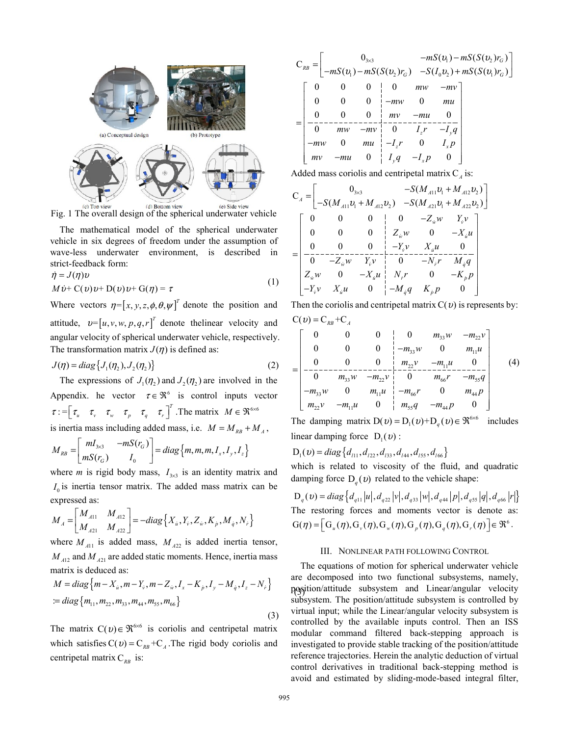

Fig. 1 The overall design of the spherical underwater vehicle

The mathematical model of the spherical underwater vehicle in six degrees of freedom under the assumption of wave-less underwater environment, is described in strict-feedback form:

$$
\dot{\eta} = J(\eta)v
$$
  
\n
$$
M\dot{v} + C(v)v + D(v)v + G(\eta) = \tau
$$
\n(1)

Where vectors  $\eta = [x, y, z, \phi, \theta, \psi]^T$  denote the position and attitude,  $v = [u, v, w, p, q, r]^T$  denote the linear velocity and angular velocity of spherical underwater vehicle, respectively. The transformation matrix  $J(\eta)$  is defined as:

$$
J(\eta) = diag\{J_1(\eta_2), J_2(\eta_2)\}\tag{2}
$$

is inertia mass including added mass, i.e.  $M = M_{RB} + M_A$ , The expressions of  $J_1(\eta_2)$  and  $J_2(\eta_2)$  are involved in the Appendix. he vector  $\tau \in \mathfrak{R}^6$  is control inputs vector  $\tau := \begin{bmatrix} \tau_u & \tau_v & \tau_w & \tau_p & \tau_q & \tau_r \end{bmatrix}^T$ . The matrix  $M \in \mathfrak{R}^{6 \times 6}$ 

$$
M_{RB} = \begin{bmatrix} mI_{3\times 3} & -mS(r_G) \\ mS(r_G) & I_0 \end{bmatrix} = diag\{m, m, m, I_x, I_y, I_z\}
$$

where *m* is rigid body mass,  $I_{3\times 3}$  is an identity matrix and  $I_0$  is inertia tensor matrix. The added mass matrix can be expressed as:

$$
M_A = \begin{bmatrix} M_{A11} & M_{A12} \\ M_{A21} & M_{A22} \end{bmatrix} = -diag\left\{ X_{\dot{u}}, Y_{\dot{v}}, Z_{\dot{w}}, K_{\dot{p}}, M_{\dot{q}}, N_{\dot{r}} \right\}
$$

where  $M_{A11}$  is added mass,  $M_{A22}$  is added inertia tensor,  $M_{A12}$  and  $M_{A21}$  are added static moments. Hence, inertia mass matrix is deduced as:

$$
M = diag\{m - X_{ii}, m - Y_{\dot{v}}, m - Z_{\dot{w}}, I_x - K_{\dot{p}}, I_y - M_{\dot{q}}, I_z - N_{\dot{r}}\}
$$
  
:= diag\{m\_{11}, m\_{22}, m\_{33}, m\_{44}, m\_{55}, m\_{66}\}\n
$$
(3)
$$

The matrix  $C(v) \in \mathfrak{R}^{\otimes 6}$  is coriolis and centripetal matrix which satisfies  $C(v) = C_{RB} + C_A$ . The rigid body coriolis and centripetal matrix  $C_{RB}$  is:

$$
C_{RB} = \begin{bmatrix} 0_{3\times 3} & -mS(v_1) - mS(S(v_2)r_G) \\ -mS(v_1) - mS(S(v_2)r_G) & -S(I_0v_2) + mS(S(v_1)r_G) \end{bmatrix}
$$
  
= 
$$
\begin{bmatrix} 0 & 0 & 0 & 0 & m w & -m v \\ 0 & 0 & 0 & -m w & 0 & m u \\ -\frac{0}{0} & m w & -m v & 0 & -m u & 0 \\ -\frac{0}{0} & m w & -m v & 0 & I_zr & -I_yq \\ -m w & 0 & m u & -I_zr & 0 & I_xp \\ m v & -m u & 0 & I_yq & -I_xp & 0 \end{bmatrix}
$$

Added mass coriolis and centripetal matrix  $C_A$  is:

$$
C_{A} = \begin{bmatrix} 0_{3\times 3} & -S(M_{A11}v_{1} + M_{A12}v_{2}) \\ -S(M_{A11}v_{1} + M_{A12}v_{2}) & -S(M_{A21}v_{1} + M_{A22}v_{2}) \end{bmatrix}
$$
  
\n
$$
= \begin{bmatrix} 0 & 0 & 0 & 0 & -Z_{w}w & Y_{v}v \\ 0 & 0 & 0 & Z_{w}w & 0 & -X_{u}u \\ 0 & 0 & 0 & -Y_{v}v & X_{u}u & 0 \\ -0 & -Z_{w}w & Y_{v}v & 0 & -N_{r}r & M_{q}q \\ Z_{w}w & 0 & -X_{u}u & N_{r}r & 0 & -K_{p}p \\ -Y_{v}v & X_{u}u & 0 & -M_{q}q & K_{p}p & 0 \end{bmatrix}
$$

Then the coriolis and centripetal matrix  $C(v)$  is represents by:  $C(v) = C_{RB} + C_{A}$ 

$$
= \begin{bmatrix} 0 & 0 & 0 & 0 & m_{33}w & -m_{22}v \\ 0 & 0 & 0 & -m_{33}w & 0 & m_{11}u \\ 0 & 0 & 0 & m_{22}v & -m_{11}u & 0 \\ -\frac{0}{0} & m_{33}w & -m_{22}v & 0 & m_{66}r & -m_{55}q \\ -m_{33}w & 0 & m_{11}u & -m_{66}r & 0 & m_{44}p \\ m_{22}v & -m_{11}u & 0 & m_{55}q & -m_{44}p & 0 \end{bmatrix}
$$
(4)

The damping matrix  $D(v) = D_1(v) + D_q(v) \in \mathbb{R}^{6 \times 6}$  includes linear damping force  $D_1(v)$ :

$$
D_1(v) = diag\{d_{11}, d_{122}, d_{133}, d_{144}, d_{155}, d_{166}\}\
$$

which is related to viscosity of the fluid, and quadratic damping force  $D_q(v)$  related to the vehicle shape:

The restoring forces and moments vector is denote as:  $G(\eta) = \left[ G_u(\eta), G_v(\eta), G_w(\eta), G_p(\eta), G_q(\eta), G_r(\eta) \right] \in \mathfrak{R}^6$ .  $D_q(v) = diag\{d_{q11}|u|, d_{q22}|v|, d_{q33}|w|, d_{q44}|p|, d_{q55}|q|, d_{q66}|r|\}$ 

## III. NONLINEAR PATH FOLLOWING CONTROL

(3) position/attitude subsystem and Linear/angular velocity The equations of motion for spherical underwater vehicle are decomposed into two functional subsystems, namely, subsystem. The position/attitude subsystem is controlled by virtual input; while the Linear/angular velocity subsystem is controlled by the available inputs control. Then an ISS modular command filtered back-stepping approach is investigated to provide stable tracking of the position/attitude reference trajectories. Herein the analytic deduction of virtual control derivatives in traditional back-stepping method is avoid and estimated by sliding-mode-based integral filter,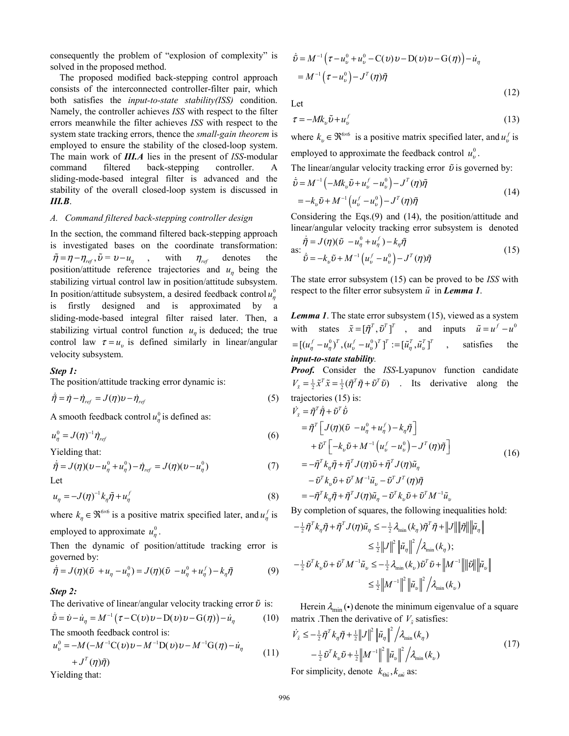consequently the problem of "explosion of complexity" is solved in the proposed method.

The proposed modified back-stepping control approach consists of the interconnected controller-filter pair, which both satisfies the *input-to-state stability(ISS)* condition. Namely, the controller achieves *ISS* with respect to the filter errors meanwhile the filter achieves *ISS* with respect to the system state tracking errors, thence the *small-gain theorem* is employed to ensure the stability of the closed-loop system. The main work of *III.A* lies in the present of *ISS*-modular command filtered back-stepping controller. A sliding-mode-based integral filter is advanced and the stability of the overall closed-loop system is discussed in *III.B*.

#### *A. Command filtered back-stepping controller design*

In the section, the command filtered back-stepping approach is investigated bases on the coordinate transformation: with  $\eta_{ref}$  denotes the position/attitude reference trajectories and  $u<sub>η</sub>$  being the stabilizing virtual control law in position/attitude subsystem. In position/attitude subsystem, a desired feedback control  $u_{\eta}^0$ is firstly designed and is approximated by a sliding-mode-based integral filter raised later. Then, a stabilizing virtual control function  $u_{\eta}$  is deduced; the true control law  $\tau = u_v$  is defined similarly in linear/angular velocity subsystem.  $\tilde{\eta} = \eta - \eta_{ref}, \tilde{\upsilon} = \upsilon - u_n$ ,

### *Step 1:*

The position/attitude tracking error dynamic is:

$$
\dot{\tilde{\eta}} = \dot{\eta} - \dot{\eta}_{ref} = J(\eta)v - \dot{\eta}_{ref}
$$
\n(5)

A smooth feedback control  $u_{\eta}^0$  is defined as:

$$
u_{\eta}^{0} = J(\eta)^{-1} \dot{\eta}_{ref} \tag{6}
$$

Yielding that:

$$
\dot{\tilde{\eta}} = J(\eta)(\nu - u_{\eta}^0 + u_{\eta}^0) - \dot{\eta}_{ref} = J(\eta)(\nu - u_{\eta}^0)
$$
\nLet\n
$$
\tag{7}
$$

$$
u_{\eta} = -J(\eta)^{-1} k_{\eta} \tilde{\eta} + u_{\eta}^{f}
$$
 (8)

where  $k_n \in \mathfrak{R}^{6 \times 6}$  is a positive matrix specified later, and  $u_n^f$  is employed to approximate  $u_{\eta}^0$ .

Then the dynamic of position/attitude tracking error is governed by:

$$
\dot{\tilde{\eta}} = J(\eta)(\tilde{\upsilon} + u_{\eta} - u_{\eta}^0) = J(\eta)(\tilde{\upsilon} - u_{\eta}^0 + u_{\eta}^f) - k_{\eta}\tilde{\eta}
$$
(9)

## *Step 2:*

The derivative of linear/angular velocity tracking error  $\tilde{v}$  is:

$$
\dot{\tilde{v}} = \dot{v} - \dot{u}_{\eta} = M^{-1}(\tau - C(v)v - D(v)v - G(\eta)) - \dot{u}_{\eta}
$$
 (10)

The smooth feedback control is:

$$
u_v^0 = -M(-M^{-1}C(v)v - M^{-1}D(v)v - M^{-1}G(\eta) - \dot{u}_\eta
$$
  
+ 
$$
J^T(\eta)\tilde{\eta}
$$
 (11)

Yielding that:

$$
\dot{\tilde{\mathbf{U}}} = M^{-1} \left( \tau - u_v^0 + u_v^0 - \mathbf{C}(\mathbf{U}) \mathbf{U} - \mathbf{D}(\mathbf{U}) \mathbf{U} - \mathbf{G}(\boldsymbol{\eta}) \right) - \dot{u}_\eta
$$
\n
$$
= M^{-1} \left( \tau - u_v^0 \right) - J^T(\boldsymbol{\eta}) \tilde{\boldsymbol{\eta}}
$$

Let

$$
\tau = -Mk_v \tilde{\nu} + u_v^f \tag{13}
$$

 $(12)$ 

where  $k_v \in \mathbb{R}^{6 \times 6}$  is a positive matrix specified later, and  $u_v^f$  is employed to approximate the feedback control  $u_v^0$ .

The linear/angular velocity tracking error  $\tilde{v}$  is governed by:

$$
\dot{\tilde{\mathbf{U}}} = M^{-1} \left( -M k_{v} \tilde{\mathbf{U}} + u_{v}^{f} - u_{v}^{0} \right) - J^{T}(\eta) \tilde{\eta}
$$
\n
$$
= -k_{v} \tilde{\mathbf{U}} + M^{-1} \left( u_{v}^{f} - u_{v}^{0} \right) - J^{T}(\eta) \tilde{\eta}
$$
\n(14)

Considering the Eqs.(9) and (14), the position/attitude and linear/angular velocity tracking error subsystem is denoted

$$
\dot{\tilde{\eta}} = J(\eta)(\tilde{\nu} - u_{\eta}^0 + u_{\eta}^f) - k_{\eta}\tilde{\eta}
$$
  
as: 
$$
\dot{\tilde{\nu}} = -k_{\nu}\tilde{\nu} + M^{-1} \left( u_{\nu}^f - u_{\nu}^0 \right) - J^T(\eta)\tilde{\eta}
$$
 (15)

The state error subsystem (15) can be proved to be *ISS* with respect to the filter error subsystem  $\tilde{u}$  in **Lemma 1**.

*Lemma 1*. The state error subsystem (15), viewed as a system with states  $\tilde{x} = [\tilde{\eta}^T, \tilde{v}^T]^T$ , and inputs  $\tilde{u} = u^T - u^0$ satisfies the *input-to-state stability.*  $= [(u_n^f - u_n^0)^T, (u_n^f - u_n^0)^T]^T := [\tilde{u}_n^T, \tilde{u}_n^T]^T$ 

*Proof.* Consider the *ISS*-Lyapunov function candidate  $V_{\tilde{x}} = \frac{1}{2} \tilde{x}^T \tilde{x} = \frac{1}{2} (\tilde{\eta}^T \tilde{\eta} + \tilde{v}^T \tilde{v})$  . Its derivative along the trajectories (15) is:

$$
\dot{V}_{\tilde{x}} = \tilde{\eta}^T \dot{\tilde{\eta}} + \tilde{v}^T \dot{\tilde{v}}
$$
\n
$$
= \tilde{\eta}^T \left[ J(\eta)(\tilde{v} - u_{\eta}^0 + u_{\eta}^f) - k_{\eta} \tilde{\eta} \right]
$$
\n
$$
+ \tilde{v}^T \left[ -k_v \tilde{v} + M^{-1} \left( u_v^f - u_v^0 \right) - J^T(\eta) \tilde{\eta} \right]
$$
\n
$$
= -\tilde{\eta}^T k_{\eta} \tilde{\eta} + \tilde{\eta}^T J(\eta) \tilde{v} + \tilde{\eta}^T J(\eta) \tilde{u}_{\eta}
$$
\n
$$
- \tilde{v}^T k_v \tilde{v} + \tilde{v}^T M^{-1} \tilde{u}_v - \tilde{v}^T J^T(\eta) \tilde{\eta}
$$
\n
$$
= -\tilde{\eta}^T k_{\eta} \tilde{\eta} + \tilde{\eta}^T J(\eta) \tilde{u}_{\eta} - \tilde{v}^T k_v \tilde{v} + \tilde{v}^T M^{-1} \tilde{u}_v
$$
\n(16)

By completion of squares, the following inequalities hold:

$$
-\frac{1}{2}\tilde{\eta}^T k_{\eta}\tilde{\eta} + \tilde{\eta}^T J(\eta)\tilde{u}_{\eta} \leq -\frac{1}{2}\lambda_{\min}(k_{\eta})\tilde{\eta}^T \tilde{\eta} + ||J|| \|\tilde{\eta}|| \|\tilde{u}_{\eta}||
$$
  
\n
$$
\leq \frac{1}{2}||J||^2 \|\tilde{u}_{\eta}\|^2 / \lambda_{\min}(k_{\eta});
$$
  
\n
$$
-\frac{1}{2}\tilde{v}^T k_{v}\tilde{v} + \tilde{v}^T M^{-1}\tilde{u}_{v} \leq -\frac{1}{2}\lambda_{\min}(k_{v})\tilde{v}^T \tilde{v} + ||M^{-1}|| \|\tilde{v}\|| \|\tilde{u}_{v}||
$$
  
\n
$$
\leq \frac{1}{2}||M^{-1}||^2 \|\tilde{u}_{v}\|^2 / \lambda_{\min}(k_{v})
$$

Herein  $\lambda_{\min}(\cdot)$  denote the minimum eigenvalue of a square matrix .Then the derivative of  $V_{\tilde{x}}$  satisfies:

$$
\dot{V}_{\bar{x}} \leq -\frac{1}{2}\tilde{\eta}^T k_{\eta}\tilde{\eta} + \frac{1}{2}||J||^2 ||\tilde{u}_{\eta}||^2 / \lambda_{\min}(k_{\eta})
$$
\n
$$
-\frac{1}{2}\tilde{v}^T k_{\nu}\tilde{v} + \frac{1}{2}||M^{-1}||^2 ||\tilde{u}_{\nu}||^2 / \lambda_{\min}(k_{\nu})
$$
\n(17)

For simplicity, denote  $k_{\theta \tilde{u}}$ ,  $k_{\omega \tilde{u}}$  as: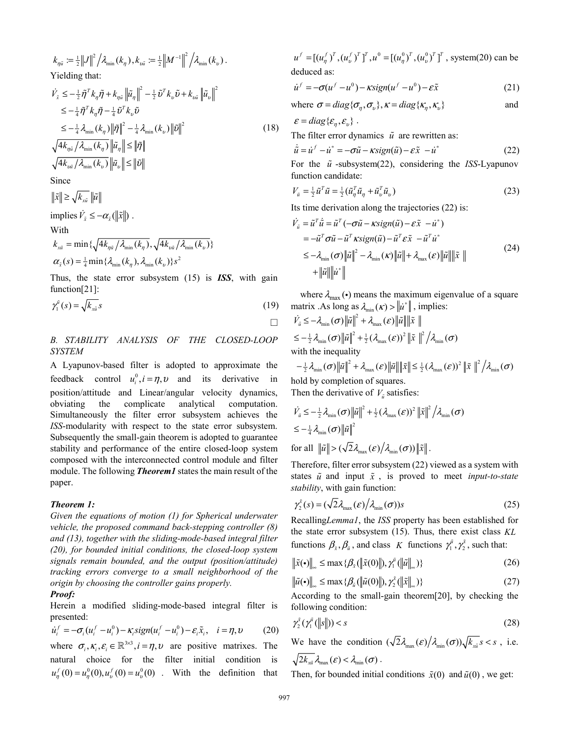$$
k_{\eta\tilde{u}} := \frac{1}{2} ||J||^2 / \lambda_{\min} (k_{\eta}), k_{\nu\tilde{u}} := \frac{1}{2} ||M^{-1}||^2 / \lambda_{\min} (k_{\nu}).
$$
  
Yielding that:  

$$
\dot{V}_{\tilde{x}} \le -\frac{1}{2} \tilde{\eta}^T k_{\eta} \tilde{\eta} + k_{\eta\tilde{u}} ||\tilde{u}_{\eta}||^2 - \frac{1}{2} \tilde{v}^T k_{\nu} \tilde{v} + k_{\nu\tilde{u}} ||\tilde{u}_{\nu}||^2
$$

$$
\le -\frac{1}{4} \tilde{\eta}^T k_{\eta} \tilde{\eta} - \frac{1}{4} \tilde{v}^T k_{\nu} \tilde{v}
$$

$$
\le -\frac{1}{4} \lambda_{\min} (k_{\eta}) ||\tilde{\eta}||^2 - \frac{1}{4} \lambda_{\min} (k_{\nu}) ||\tilde{v}||^2
$$
(18)
$$
\sqrt{4k_{\eta\tilde{u}} / \lambda_{\min} (k_{\eta})} ||\tilde{u}_{\eta}|| \le ||\tilde{\eta}||
$$

$$
\sqrt{4k_{\nu\tilde{u}} / \lambda_{\min} (k_{\nu})} ||\tilde{u}_{\nu}|| \le ||\tilde{v}||
$$
  
Since  

$$
||\tilde{x}|| \ge \sqrt{k_{x\tilde{u}}} ||\tilde{u}||
$$
  
implies 
$$
\dot{V}_{\tilde{x}} \le -\alpha_{\tilde{x}} (||\tilde{x}||).
$$

With

$$
k_{x\bar{u}} = \min \left\{ \sqrt{4k_{\eta\bar{u}} / \lambda_{\min}(k_{\eta})}, \sqrt{4k_{v\bar{u}} / \lambda_{\min}(k_{v})} \right\}
$$

$$
\alpha_{\bar{x}}(s) = \frac{1}{4} \min \left\{ \lambda_{\min}(k_{\eta}), \lambda_{\min}(k_{v}) \right\} s^{2}
$$

Thus, the state error subsystem (15) is *ISS*, with gain function[21]:

$$
\gamma_1^{\tilde{\mu}}(s) = \sqrt{k_{x\tilde{\mu}}} s \tag{19}
$$

# *B. STABILITY ANALYSIS OF THE CLOSED-LOOP SYSTEM*

A Lyapunov-based filter is adopted to approximate the feedback control  $u_i^0$ ,  $i = \eta$ ,  $v$  and its derivative in position/attitude and Linear/angular velocity dynamics, obviating the complicate analytical computation. Simultaneously the filter error subsystem achieves the *ISS*-modularity with respect to the state error subsystem. Subsequently the small-gain theorem is adopted to guarantee stability and performance of the entire closed-loop system composed with the interconnected control module and filter module. The following *Theorem1* states the main result of the paper.

## *Theorem 1:*

*Given the equations of motion (1) for Spherical underwater vehicle, the proposed command back-stepping controller (8) and (13), together with the sliding-mode-based integral filter (20), for bounded initial conditions, the closed-loop system signals remain bounded, and the output (position/attitude) tracking errors converge to a small neighborhood of the origin by choosing the controller gains properly.* 

# *Proof:*

Herein a modified sliding-mode-based integral filter is presented:

$$
\dot{u}_i^f = -\sigma_i (u_i^f - u_i^0) - \kappa_i sign(u_i^f - u_i^0) - \varepsilon_i \tilde{x}_i, \quad i = \eta, \upsilon \tag{20}
$$

where  $\sigma_i$ ,  $\kappa_i$ ,  $\varepsilon_i \in \mathbb{R}^{3\times3}$ ,  $i = \eta$ ,  $\nu$  are positive matrixes. The natural choice for the filter initial condition is  $u_{\eta}^{f}(0) = u_{\eta}^{0}(0), u_{\nu}^{f}(0) = u_{\nu}^{0}(0)$  . With the definition that

 $u^f = [(u^f_\eta)^T, (u^f_\nu)^T]^T, u^0 = [(u^0_\eta)^T, (u^0_\nu)^T]^T$ , system(20) can be deduced as:

$$
\dot{u}^f = -\sigma(u^f - u^0) - \kappa sign(u^f - u^0) - \varepsilon \tilde{x}
$$
\n(21)

where 
$$
\sigma = diag{\lbrace \sigma_{\eta}, \sigma_{\nu} \rbrace}
$$
,  $\kappa = diag{\lbrace \kappa_{\eta}, \kappa_{\nu} \rbrace}$  and

 $\varepsilon = diag\{\varepsilon_{\eta}, \varepsilon_{v}\}.$ 

The filter error dynamics  $\tilde{u}$  are rewritten as:

$$
\dot{\tilde{u}} = \dot{u}^f - \dot{u}^* = -\sigma \tilde{u} - \kappa sign(\tilde{u}) - \varepsilon \tilde{x} - \dot{u}^*
$$
\n(22)

For the  $\tilde{u}$ -subsystem(22), considering the *ISS*-Lyapunov function candidate:

$$
V_{\tilde{u}} = \frac{1}{2}\tilde{u}^T\tilde{u} = \frac{1}{2}(\tilde{u}_{\eta}^T\tilde{u}_{\eta} + \tilde{u}_{\nu}^T\tilde{u}_{\nu})
$$
\n(23)

Its time derivation along the trajectories (22) is:

$$
\dot{V}_{\tilde{u}} = \tilde{u}^T \dot{\tilde{u}} = \tilde{u}^T (-\sigma \tilde{u} - \kappa \text{sign}(\tilde{u}) - \varepsilon \tilde{x} - \dot{u}^*)
$$
\n
$$
= -\tilde{u}^T \sigma \tilde{u} - \tilde{u}^T \kappa \text{sign}(\tilde{u}) - \tilde{u}^T \varepsilon \tilde{x} - \tilde{u}^T \dot{u}^*
$$
\n
$$
\leq -\lambda_{\min}(\sigma) \|\tilde{u}\|^2 - \lambda_{\min}(\kappa) \|\tilde{u}\| + \lambda_{\max}(\varepsilon) \|\tilde{u}\| \|\tilde{x}\|
$$
\n
$$
+ \|\tilde{u}\| \|\dot{u}^*\|
$$
\n(24)

where  $\lambda_{\text{max}}(\cdot)$  means the maximum eigenvalue of a square matrix .As long as  $\lambda_{\min}(\kappa) > ||\vec{u}^*||$ , implies:

$$
\dot{V}_{\tilde{u}} \leq -\lambda_{\min}(\sigma) \|\tilde{u}\|^2 + \lambda_{\max}(\varepsilon) \|\tilde{u}\| \|\tilde{x}\|
$$
\n
$$
\leq -\frac{1}{2} \lambda_{\min}(\sigma) \|\tilde{u}\|^2 + \frac{1}{2} (\lambda_{\max}(\varepsilon))^2 \|\tilde{x}\|^2 / \lambda_{\min}(\sigma)
$$
\nwith the inequality\n
$$
-\frac{1}{2} \lambda_{\min}(\sigma) \|\tilde{u}\|^2 + \lambda_{\max}(\varepsilon) \|\tilde{u}\| \|\tilde{x}\| \leq \frac{1}{2} (\lambda_{\max}(\varepsilon))^2 \|\tilde{x}\|^2 / \lambda_{\min}(\sigma)
$$

hold by completion of squares. Then the derivative of  $V_{\tilde{u}}$  satisfies:

$$
\dot{V}_{\tilde{u}} \leq -\frac{1}{2} \lambda_{\min}(\sigma) \|\tilde{u}\|^2 + \frac{1}{2} (\lambda_{\max}(\varepsilon))^2 \|\tilde{x}\|^2 / \lambda_{\min}(\sigma)
$$
  
\n
$$
\leq -\frac{1}{4} \lambda_{\min}(\sigma) \|\tilde{u}\|^2
$$
  
\nfor all  $\|\tilde{u}\| > (\sqrt{2} \lambda_{\max}(\varepsilon) / \lambda_{\min}(\sigma)) \|\tilde{x}\|$ .

Therefore, filter error subsystem (22) viewed as a system with states  $\tilde{u}$  and input  $\tilde{x}$ , is proved to meet *input-to-state stability*, with gain function:

$$
\gamma_2^{\tilde{x}}(s) = (\sqrt{2}\lambda_{\max}(\varepsilon)/\lambda_{\min}(\sigma))s
$$
 (25)

Recalling*Lemma1*, the *ISS* property has been established for the state error subsystem (15). Thus, there exist class *KL* functions  $\beta_{\tilde{x}}, \beta_{\tilde{u}}$ , and class K functions  $\gamma_1^{\tilde{u}}, \gamma_2^{\tilde{x}}$ , such that:

$$
\|\tilde{x}(\cdot)\|_{\infty} \le \max\{\beta_{\tilde{x}}(\|\tilde{x}(0)\|), \gamma_1^{\tilde{u}}(\|\tilde{u}\|_{\infty})\}\tag{26}
$$

$$
\left\|\tilde{u}(\cdot)\right\|_{\infty} \leq \max\{\beta_{\tilde{u}}(\left\|\tilde{u}(0)\right\|), \gamma_{2}^{\tilde{x}}(\left\|\tilde{x}\right\|_{\infty})\} \tag{27}
$$

According to the small-gain theorem[20], by checking the following condition:

$$
\gamma_2^{\tilde{x}}(\gamma_1^{\tilde{u}}(\|s\|)) < s \tag{28}
$$

We have the condition  $(\sqrt{2}\lambda_{\max}(\varepsilon)/\lambda_{\min}(\sigma))\sqrt{k_{x_i}} s < s$ , i.e.  $2k_{\text{min}}\lambda_{\text{max}}(\varepsilon) < \lambda_{\text{min}}(\sigma)$ .

Then, for bounded initial conditions  $\tilde{x}(0)$  and  $\tilde{u}(0)$ , we get: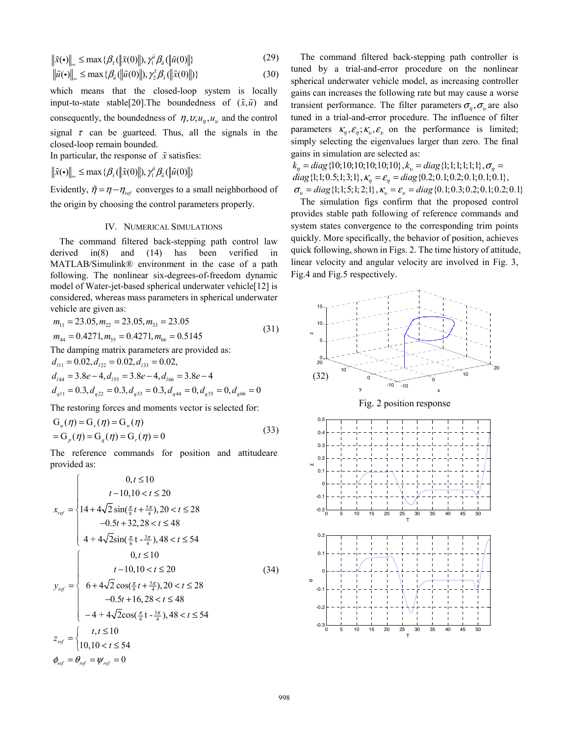$$
\|\tilde{x}(\cdot)\|_{\infty} \le \max\{\beta_{\tilde{x}}(\|\tilde{x}(0)\|), \gamma_1^{\tilde{u}}\beta_{\tilde{u}}(\|\tilde{u}(0)\|)\}\tag{29}
$$

$$
\|\tilde{u}(\cdot)\|_{\infty} \le \max\{\beta_{\tilde{u}}(\|\tilde{u}(0)\|), \gamma_{2}^{\tilde{x}}\beta_{\tilde{x}}(\|\tilde{x}(0)\|)\}\tag{30}
$$

which means that the closed-loop system is locally input-to-state stable<sup>[20]</sup>. The boundedness of  $(\tilde{x}, \tilde{u})$  and consequently, the boundedness of  $\eta$ ,  $v; u_n, u_v$  and the control signal  $\tau$  can be guarteed. Thus, all the signals in the closed-loop remain bounded.

In particular, the response of  $\tilde{x}$  satisfies:

 $\|\tilde{x}(\cdot)\|_{\infty} \leq \max\{\beta_{\tilde{x}}(\|\tilde{x}(0)\|), \gamma_1^{\tilde{u}}\beta_{\tilde{u}}(\|\tilde{u}(0)\|)\}$ 

Evidently,  $\tilde{\eta} = \eta - \eta_{ref}$  converges to a small neighborhood of the origin by choosing the control parameters properly.

# IV. NUMERICAL SIMULATIONS

The command filtered back-stepping path control law derived in(8) and (14) has been verified in MATLAB/Simulink® environment in the case of a path following. The nonlinear six-degrees-of-freedom dynamic model of Water-jet-based spherical underwater vehicle[12] is considered, whereas mass parameters in spherical underwater vehicle are given as:

$$
m_{11} = 23.05, m_{22} = 23.05, m_{33} = 23.05
$$
  
\n
$$
m_{44} = 0.4271, m_{55} = 0.4271, m_{66} = 0.5145
$$
  
\nThe damping matrix parameters are provided as:  
\n
$$
d_{111} = 0.02, d_{122} = 0.02, d_{133} = 0.02,
$$
  
\n
$$
d_{144} = 3.8e - 4, d_{155} = 3.8e - 4, d_{166} = 3.8e - 4
$$

$$
d_{q11} = 0.3, d_{q22} = 0.3, d_{q33} = 0.3, d_{q44} = 0, d_{q55} = 0, d_{q66} = 0
$$

The restoring forces and moments vector is selected for:

$$
G_u(\eta) = G_v(\eta) = G_w(\eta)
$$
  
=  $G_p(\eta) = G_q(\eta) = G_r(\eta) = 0$  (33)

The reference commands for position and attitudeare provided as:

$$
x_{ref} = \begin{cases} 0, t \le 10 \\ t - 10, 10 < t \le 20 \\ 14 + 4\sqrt{2} \sin(\frac{\pi}{8}t + \frac{5\pi}{4}), 20 < t \le 28 \\ -0.5t + 32, 28 < t \le 48 \\ 4 + 4\sqrt{2} \sin(\frac{\pi}{6}t - \frac{3\pi}{4}), 48 < t \le 54 \end{cases}
$$
  

$$
y_{ref} = \begin{cases} 0, t \le 10 \\ t - 10, 10 < t \le 20 \\ 6 + 4\sqrt{2} \cos(\frac{\pi}{8}t + \frac{5\pi}{4}), 20 < t \le 28 \\ -0.5t + 16, 28 < t \le 48 \\ -4 + 4\sqrt{2} \cos(\frac{\pi}{6}t - \frac{3\pi}{4}), 48 < t \le 54 \end{cases}
$$
  

$$
z_{ref} = \begin{cases} t, t \le 10 \\ 10, 10 < t \le 54 \\ 10, 10 < t \le 54 \end{cases}
$$

The command filtered back-stepping path controller is tuned by a trial-and-error procedure on the nonlinear spherical underwater vehicle model, as increasing controller gains can increases the following rate but may cause a worse transient performance. The filter parameters  $\sigma_{\eta}$ ,  $\sigma_{v}$  are also tuned in a trial-and-error procedure. The influence of filter parameters  $\kappa_n, \varepsilon_n, \kappa_v, \varepsilon_v$  on the performance is limited; simply selecting the eigenvalues larger than zero. The final gains in simulation are selected as:

 $k_n = diag\{10; 10; 10; 10; 10; 10\}$ ,  $k_n = diag\{1; 1; 1; 1; 1; 1\}$ ,  $\sigma_n =$  $diag \{1; 1; 0.5; 1; 3; 1\}, \kappa_{\eta} = \varepsilon_{\eta} = diag \{0.2; 0.1; 0.2; 0.1; 0.1; 0.1\},\$  $\sigma_p = diag\{1; 1; 5; 1; 2; 1\}, \kappa_v = \varepsilon_v = diag\{0.1; 0.3; 0.2; 0.1; 0.2; 0.1\}$ 

The simulation figs confirm that the proposed control provides stable path following of reference commands and system states convergence to the corresponding trim points quickly. More specifically, the behavior of position, achieves quick following, shown in Figs. 2. The time history of attitude, linear velocity and angular velocity are involved in Fig. 3, Fig.4 and Fig.5 respectively.

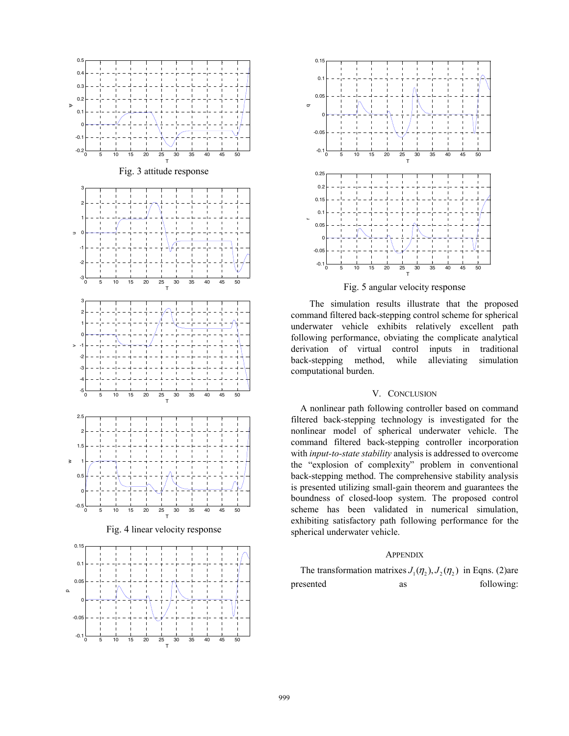

T



Fig. 5 angular velocity response

The simulation results illustrate that the proposed command filtered back-stepping control scheme for spherical underwater vehicle exhibits relatively excellent path following performance, obviating the complicate analytical derivation of virtual control inputs in traditional back-stepping method, while alleviating simulation computational burden.

# V. CONCLUSION

A nonlinear path following controller based on command filtered back-stepping technology is investigated for the nonlinear model of spherical underwater vehicle. The command filtered back-stepping controller incorporation with *input-to-state stability* analysis is addressed to overcome the "explosion of complexity" problem in conventional back-stepping method. The comprehensive stability analysis is presented utilizing small-gain theorem and guarantees the boundness of closed-loop system. The proposed control scheme has been validated in numerical simulation, exhibiting satisfactory path following performance for the spherical underwater vehicle.

## **APPENDIX**

The transformation matrixes  $J_1(\eta_2)$ ,  $J_2(\eta_2)$  in Eqns. (2)are presented as following: